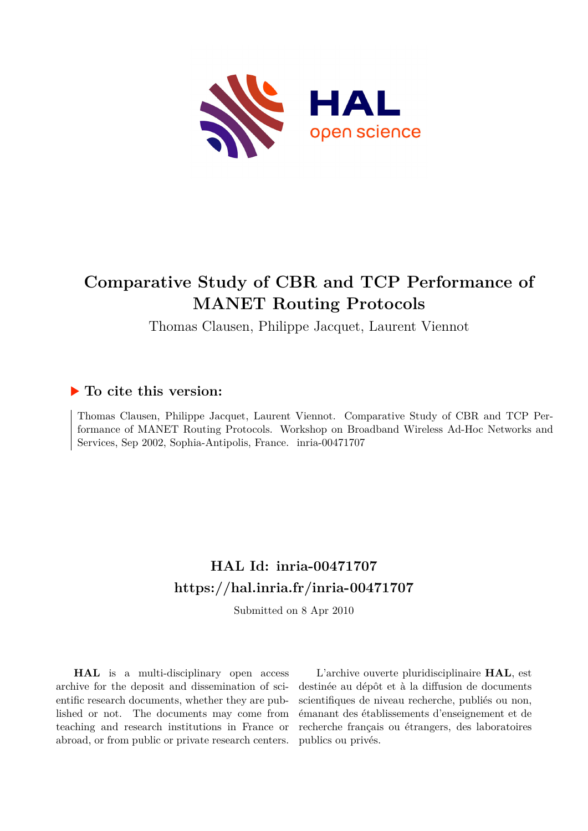

# **Comparative Study of CBR and TCP Performance of MANET Routing Protocols**

Thomas Clausen, Philippe Jacquet, Laurent Viennot

# **To cite this version:**

Thomas Clausen, Philippe Jacquet, Laurent Viennot. Comparative Study of CBR and TCP Performance of MANET Routing Protocols. Workshop on Broadband Wireless Ad-Hoc Networks and Services, Sep 2002, Sophia-Antipolis, France. inria-00471707

# **HAL Id: inria-00471707 <https://hal.inria.fr/inria-00471707>**

Submitted on 8 Apr 2010

**HAL** is a multi-disciplinary open access archive for the deposit and dissemination of scientific research documents, whether they are published or not. The documents may come from teaching and research institutions in France or abroad, or from public or private research centers.

L'archive ouverte pluridisciplinaire **HAL**, est destinée au dépôt et à la diffusion de documents scientifiques de niveau recherche, publiés ou non, émanant des établissements d'enseignement et de recherche français ou étrangers, des laboratoires publics ou privés.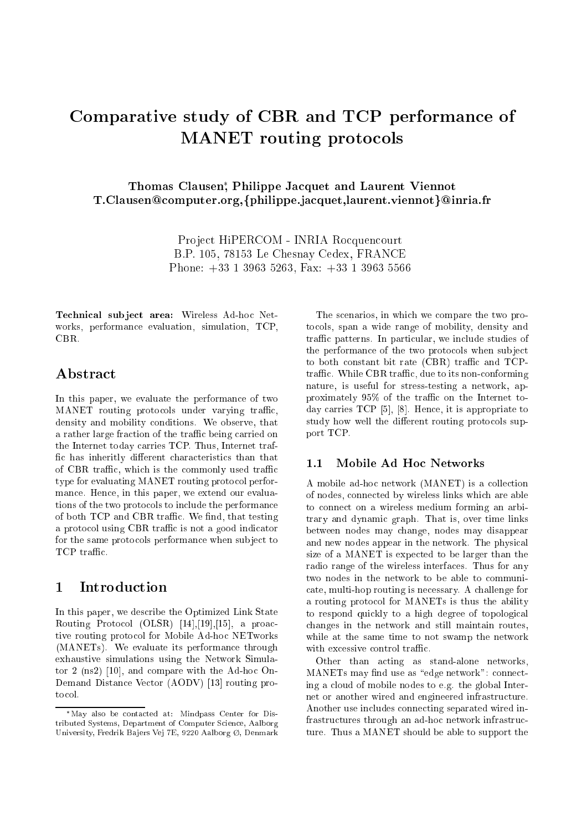# Comparative study of CBR and TCP performance of **MANET** routing protocols

## Thomas Clausen; Philippe Jacquet and Laurent Viennot T.Clausen@computer.org,{philippe.jacquet,laurent.viennot}@inria.fr

Project HiPERCOM - INRIA Rocquencourt B.P. 105, 78153 Le Chesnay Cedex, FRANCE Phone:  $+33$  1 3963 5263, Fax:  $+33$  1 3963 5566

Technical subject area: Wireless Ad-hoc Networks, performance evaluation, simulation, TCP, CBR.

## Abstract

In this paper, we evaluate the performance of two MANET routing protocols under varying traffic, density and mobility conditions. We observe, that a rather large fraction of the traffic being carried on the Internet today carries TCP. Thus, Internet traffic has inheritly different characteristics than that of CBR traffic, which is the commonly used traffic type for evaluating MANET routing protocol performance. Hence, in this paper, we extend our evaluations of the two protocols to include the performance of both TCP and CBR traffic. We find, that testing a protocol using CBR traffic is not a good indicator for the same protocols performance when subject to TCP traffic.

### $\mathbf{1}$ Introduction

In this paper, we describe the Optimized Link State Routing Protocol (OLSR) [14].[19].[15], a proactive routing protocol for Mobile Ad-hoc NETworks (MANETs). We evaluate its performance through exhaustive simulations using the Network Simulator 2 (ns2) [10], and compare with the Ad-hoc On-Demand Distance Vector (AODV) [13] routing protocol.

The scenarios, in which we compare the two protocols, span a wide range of mobility, density and traffic patterns. In particular, we include studies of the performance of the two protocols when subject to both constant bit rate (CBR) traffic and TCPtraffic. While CBR traffic, due to its non-conforming nature, is useful for stress-testing a network, approximately 95% of the traffic on the Internet today carries  $TCP [5], [8]$ . Hence, it is appropriate to study how well the different routing protocols support TCP.

### Mobile Ad Hoc Networks  $1.1$

A mobile ad-hoc network (MANET) is a collection of nodes, connected by wireless links which are able to connect on a wireless medium forming an arbitrary and dynamic graph. That is, over time links between nodes may change, nodes may disappear and new nodes appear in the network. The physical size of a MANET is expected to be larger than the radio range of the wireless interfaces. Thus for any two nodes in the network to be able to communicate, multi-hop routing is necessary. A challenge for a routing protocol for MANETs is thus the ability to respond quickly to a high degree of topological changes in the network and still maintain routes, while at the same time to not swamp the network with excessive control traffic.

Other than acting as stand-alone networks, MANETs may find use as "edge network": connecting a cloud of mobile nodes to e.g. the global Internet or another wired and engineered infrastructure. Another use includes connecting separated wired infrastructures through an ad-hoc network infrastructure. Thus a MANET should be able to support the

<sup>\*</sup>May also be contacted at: Mindpass Center for Distributed Systems, Department of Computer Science, Aalborg University, Fredrik Bajers Vej 7E, 9220 Aalborg Ø, Denmark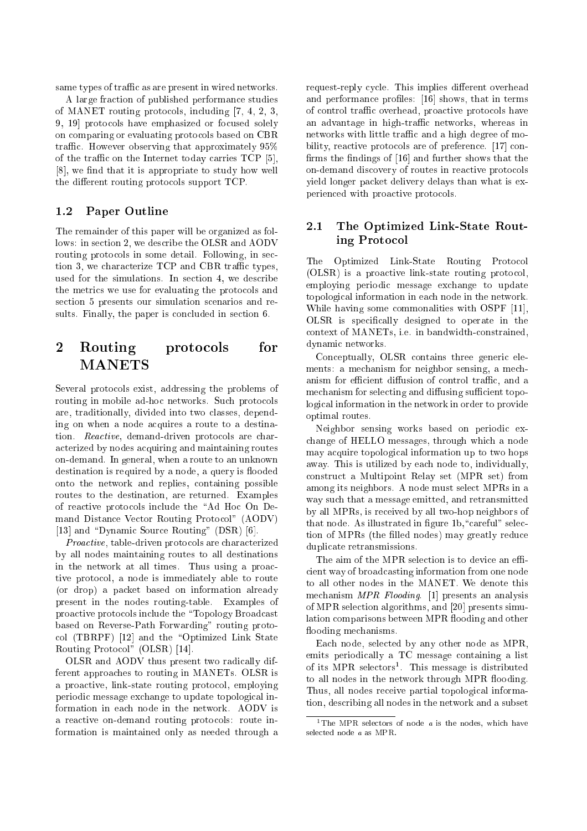same types of traffic as are present in wired networks.

A large fra
tion of published performan
e studies of MANET routing protocols, including [7, 4, 2, 3, 9, 19 protocols have emphasized or focused solely on omparing or evaluating proto
ols based on CBR traffic. However observing that approximately  $95\%$ of the traffic on the Internet today carries  $TCP [5],$  $[8]$ , we find that it is appropriate to study how well the different routing protocols support TCP.

### $1.2$ Paper Outline

The remainder of this paper will be organized as follows: in section 2, we describe the OLSR and AODV routing protocols in some detail. Following, in section 3, we characterize TCP and CBR traffic types, used for the simulations. In section 4, we describe the metri
s we use for evaluating the proto
ols and section 5 presents our simulation scenarios and results. Finally, the paper is concluded in section 6.

## 2 Routing protocols for MANETS

Several proto
ols exist, addressing the problems of routing in mobile ad-hoc networks. Such protocols are, traditionally, divided into two lasses, depending on when a node a
quires a route to a destination. Reactive, demand-driven protocols are chara
terized by nodes a
quiring and maintaining routes on-demand. In general, when a route to an unknown destination is required by a node, a query is flooded onto the network and replies, ontaining possible routes to the destination, are returned. Examples of reactive protocols include the "Ad Hoc On Demand Distan
e Ve
tor Routing Proto
ol" (AODV) [13] and "Dynamic Source Routing" (DSR) [6].

Proactive, table-driven protocols are characterized by all nodes maintaining routes to all destinations in the network at all times. Thus using a proa
 tive proto
ol, a node is immediately able to route (or drop) a pa
ket based on information already present in the nodes routing-table. Examples of proactive protocols include the "Topology Broadcast based on Reverse-Path Forwarding" routing proto  $col$  (TBRPF)  $[12]$  and the "Optimized Link State Routing Protocol" (OLSR) [14].

OLSR and AODV thus present two radi
ally different approa
hes to routing in MANETs. OLSR is a proa
tive, link-state routing proto
ol, employing periodi message ex
hange to update topologi
al information in each node in the network. AODV is a reactive on-demand routing protocols: route information is maintained only as needed through a

request-reply cycle. This implies different overhead and performance profiles: [16] shows, that in terms of ontrol traÆ overhead, proa
tive proto
ols have an advantage in high-traffic networks, whereas in networks with little traffic and a high degree of mobility, reactive protocols are of preference. [17] confirms the findings of  $[16]$  and further shows that the on-demand dis
overy of routes in rea
tive proto
ols yield longer pa
ket delivery delays than what is experien
ed with proa
tive proto
ols.

## 2.1 The Optimized Link-State Routing Proto
ol

Optimized Link-State Routing Protocol The. (OLSR) is a proa
tive link-state routing proto
ol, employing periodi message ex
hange to update topologi
al information in ea
h node in the network. While having some commonalities with OSPF [11], OLSR is specifically designed to operate in the ontext of MANETs, i.e. in bandwidthonstrained, dynami networks.

Conceptually, OLSR contains three generic elements: a mechanism for neighbor sensing, a mechanism for efficient diffusion of control traffic, and a mechanism for selecting and diffusing sufficient topologi
al information in the network in order to provide optimal routes.

Neighbor sensing works based on periodi ex hange of HELLO messages, through whi
h a node may a
quire topologi
al information up to two hops away. This is utilized by ea
h node to, individually, onstru
t a Multipoint Relay set (MPR set) from among its neighbors. A node must sele
t MPRs in a way su
h that a message emitted, and retransmitted by all MPRs, is re
eived by all two-hop neighbors of that node. As illustrated in figure 1b, "careful" selection of MPRs (the filled nodes) may greatly reduce dupli
ate retransmissions.

The aim of the MPR selection is to device an efficient way of broadcasting information from one node to all other nodes in the MANET. We denote this mechanism MPR Flooding. [1] presents an analysis of MPR selection algorithms, and [20] presents simulation comparisons between MPR flooding and other flooding mechanisms.

Ea
h node, sele
ted by any other node as MPR, emits periodically a TC message containing a list of its MPR selectors. This message is distributed to all nodes in the network through MPR flooding. Thus, all nodes re
eive partial topologi
al information, des
ribing all nodes in the network and a subset

<sup>&</sup>lt;sup>1</sup>The MPR selectors of node  $a$  is the nodes, which have sele
ted node <sup>a</sup> as MPR.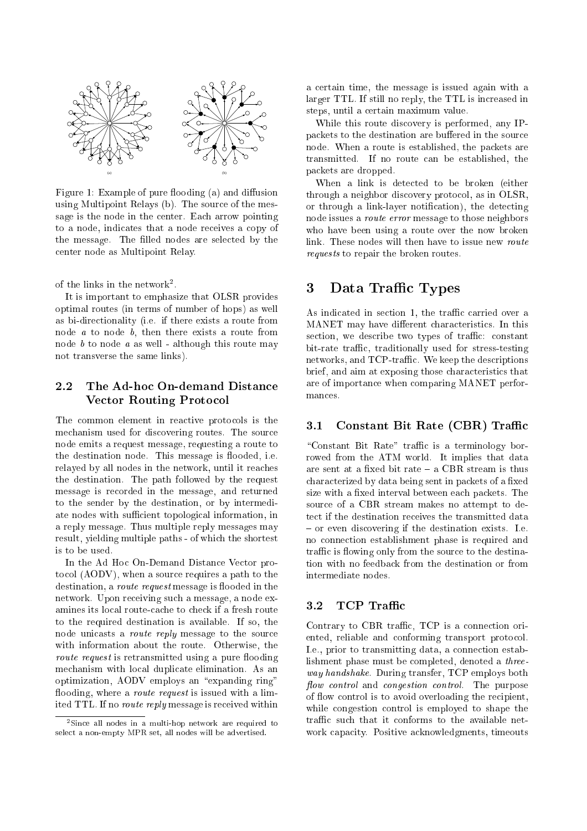

Figure 1: Example of pure flooding (a) and diffusion using Multipoint Relays (b). The sour
e of the message is the node in the center. Each arrow pointing to a node, indicates that a node receives a copy of the message. The filled nodes are selected by the enter node as Multipoint Relay.

of the links in the network-.

It is important to emphasize that OLSR provides optimal routes (in terms of number of hops) as well as bi-dire
tionality (i.e. if there exists a route from node a to node b, then there exists a route from node  $b$  to node  $a$  as well - although this route may not transverse the same links).

## 2.2 The Ad-ho On-demand Distan
e Vector Routing Protocol

The common element in reactive protocols is the me
hanism used for dis
overing routes. The sour
e node emits a request message, requesting a route to the destination node. This message is flooded, i.e. relayed by all nodes in the network, until it rea
hes the destination. The path followed by the request message is re
orded in the message, and returned to the sender by the destination, or by intermediate nodes with sufficient topological information, in a reply message. Thus multiple reply messages may result, yielding multiple paths - of whi
h the shortest is to be used.

In the Ad Ho On-Demand Distan
e Ve
tor proto
ol (AODV), when a sour
e requires a path to the destination, a *route request* message is flooded in the network. Upon re
eiving su
h a message, a node examines its local route-cache to check if a fresh route to the required destination is available. If so, the node unicasts a *route reply* message to the source with information about the route. Otherwise, the *route request* is retransmitted using a pure flooding mechanism with local duplicate elimination. As an optimization, AODV employs an "expanding ring" flooding, where a *route request* is issued with a limited TTL. If no *route reply* message is received within

a ertain time, the message is issued again with a larger TTL. If still no reply, the TTL is increased in steps, until a ertain maximum value.

While this route dis
overy is performed, any IPpackets to the destination are buffered in the source node. When a route is established, the pa
kets are transmitted. If no route an be established, the pa
kets are dropped.

When a link is dete
ted to be broken (either through a neighbor discovery protocol, as in OLSR, or through a link-layer notification), the detecting node issues a route error message to those neighbors who have been using a route over the now broken link. These nodes will then have to issue new route requests to repair the broken routes.

## 3 Data Traffic Types

As indicated in section 1, the traffic carried over a MANET may have different characteristics. In this section, we describe two types of traffic: constant bit-rate traffic, traditionally used for stress-testing networks, and TCP-traffic. We keep the descriptions brief, and aim at exposing those characteristics that are of importan
e when omparing MANET performan
es.

### 3.1 Constant Bit Rate (CBR) Traffic

"Constant Bit Rate" traffic is a terminology borrowed from the ATM world. It implies that data are sent at a fixed bit rate  $-$  a CBR stream is thus characterized by data being sent in packets of a fixed size with a fixed interval between each packets. The sour
e of a CBR stream makes no attempt to detect if the destination receives the transmitted data  $-$  or even discovering if the destination exists. I.e. no onne
tion establishment phase is required and traffic is flowing only from the source to the destination with no feedba
k from the destination or from intermediate nodes.

### 3.2 TCP Traffic

Contrary to CBR traffic, TCP is a connection oriented, reliable and conforming transport protocol. I.e., prior to transmitting data, a connection establishment phase must be ompleted, denoted a threeway handshake. During transfer, TCP employs both flow control and congestion control. The purpose of flow control is to avoid overloading the recipient, while congestion control is employed to shape the traffic such that it conforms to the available network capacity. Positive acknowledgments, timeouts

<sup>2</sup> Sin
e all nodes in a multi-hop network are required to sele
t a non-empty MPR set, all nodes will be advertised.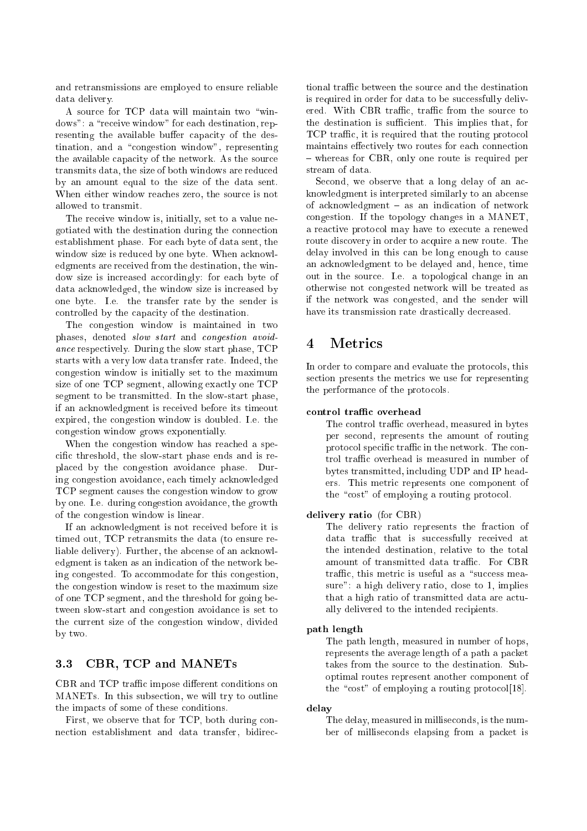and retransmissions are employed to ensure reliable data delivery.

A source for TCP data will maintain two "windows": a "receive window" for each destination, representing the available buffer capacity of the des $tination, and a "congestion window", representing$ the available capacity of the network. As the source transmits data, the size of both windows are redu
ed by an amount equal to the size of the data sent. When either window reaches zero, the source is not allowed to transmit.

The receive window is, initially, set to a value negotiated with the destination during the onne
tion establishment phase. For ea
h byte of data sent, the window size is reduced by one byte. When acknowledgments are re
eived from the destination, the window size is increased accordingly: for each byte of data acknowledged, the window size is increased by one byte. I.e. the transfer rate by the sender is controlled by the capacity of the destination.

The ongestion window is maintained in two phases, denoted *slow start* and *congestion avoid*an
e respe
tively. During the slow start phase, TCP starts with a very low data transfer rate. Indeed, the ongestion window is initially set to the maximum size of one TCP segment, allowing exactly one TCP segment to be transmitted. In the slow-start phase, if an a
knowledgment is re
eived before its timeout expired, the ongestion window is doubled. I.e. the ongestion window grows exponentially.

When the congestion window has reached a specific threshold, the slow-start phase ends and is repla
ed by the ongestion avoidan
e phase. During ongestion avoidan
e, ea
h timely a
knowledged TCP segment auses the ongestion window to grow by one. I.e. during ongestion avoidan
e, the growth of the ongestion window is linear.

If an a
knowledgment is not re
eived before it is timed out, TCP retransmits the data (to ensure reliable delivery). Further, the abcense of an acknowledgment is taken as an indication of the network being congested. To accommodate for this congestion, the ongestion window is reset to the maximum size of one TCP segment, and the threshold for going between slow-start and ongestion avoidan
e is set to the urrent size of the ongestion window, divided by two.

## 3.3 CBR, TCP and MANETs

CBR and TCP traffic impose different conditions on MANETs. In this subse
tion, we will try to outline the impacts of some of these conditions.

First, we observe that for TCP, both during conne
tion establishment and data transfer, bidire
- tional traffic between the source and the destination is required in order for data to be successfully delivered. With CBR traffic, traffic from the source to the destination is sufficient. This implies that, for TCP traffic, it is required that the routing protocol maintains effectively two routes for each connection - whereas for CBR, only one route is required per stream of data.

Second, we observe that a long delay of an acknowledgment is interpreted similarly to an ab
ense of acknowledgment  $-$  as an indication of network ongestion. If the topology hanges in a MANET, a rea
tive proto
ol may have to exe
ute a renewed route discovery in order to acquire a new route. The delay involved in this can be long enough to cause an a
knowledgment to be delayed and, hen
e, time out in the sour
e. I.e. a topologi
al hange in an otherwise not ongested network will be treated as if the network was ongested, and the sender will have its transmission rate drastically decreased.

### $\overline{\mathbf{4}}$ **Metrics**

In order to compare and evaluate the protocols, this section presents the metrics we use for representing the performance of the protocols.

The control traffic overhead, measured in bytes per se
ond, represents the amount of routing protocol specific traffic in the network. The control traffic overhead is measured in number of bytes transmitted, in
luding UDP and IP headers. This metric represents one component of the "cost" of employing a routing protocol.

### delivery ratio (for CBR)

The delivery ratio represents the fraction of data traffic that is successfully received at the intended destination, relative to the total amount of transmitted data traffic. For CBR traffic, this metric is useful as a "success measure": a high delivery ratio, close to 1, implies that a high ratio of transmitted data are a
tually delivered to the intended recipients.

### path length

The path length, measured in number of hops, represents the average length of a path a pa
ket takes from the sour
e to the destination. Suboptimal routes represent another omponent of the "cost" of employing a routing protocol $[18]$ .

### delay

The delay, measured in millise
onds, is the number of millise
onds elapsing from a pa
ket is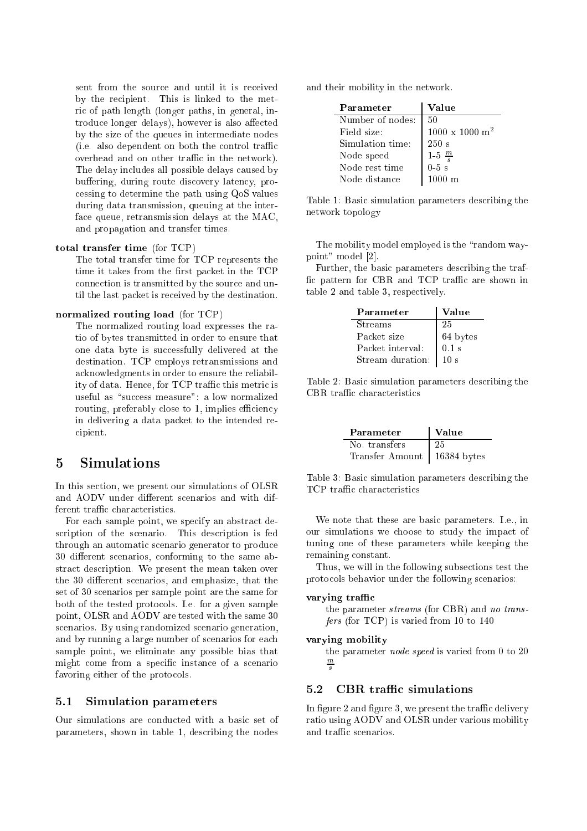sent from the source and until it is received by the recipient. This is linked to the metric of path length (longer paths, in general, introduce longer delays), however is also affected by the size of the queues in intermediate nodes (i.e. also dependent on both the control traffic overhead and on other traffic in the network). The delay includes all possible delays caused by buffering, during route discovery latency, processing to determine the path using QoS values during data transmission, queuing at the interface queue, retransmission delays at the MAC, and propagation and transfer times.

### total transfer time (for  $TCP)$

The total transfer time for TCP represents the time it takes from the first packet in the TCP connection is transmitted by the source and until the last packet is received by the destination.

### normalized routing load (for TCP)

The normalized routing load expresses the ratio of bytes transmitted in order to ensure that one data byte is successfully delivered at the destination. TCP employs retransmissions and acknowledgments in order to ensure the reliability of data. Hence, for TCP traffic this metric is useful as "success measure": a low normalized routing, preferably close to 1, implies efficiency in delivering a data packet to the intended recipient.

### $\overline{5}$ Simulations

In this section, we present our simulations of OLSR and AODV under different scenarios and with different traffic characteristics.

For each sample point, we specify an abstract description of the scenario. This description is fed through an automatic scenario generator to produce 30 different scenarios, conforming to the same abstract description. We present the mean taken over the 30 different scenarios, and emphasize, that the set of 30 scenarios per sample point are the same for both of the tested protocols. I.e. for a given sample point, OLSR and AODV are tested with the same 30 scenarios. By using randomized scenario generation, and by running a large number of scenarios for each sample point, we eliminate any possible bias that might come from a specific instance of a scenario favoring either of the protocols.

### $5.1$ **Simulation parameters**

Our simulations are conducted with a basic set of parameters, shown in table 1, describing the nodes

and their mobility in the network.

| Parameter        | Value                          |
|------------------|--------------------------------|
| Number of nodes: | 50                             |
| Field size:      | $1000 \times 1000 \text{ m}^2$ |
| Simulation time: | 250 s                          |
| Node speed       | $1-5 \frac{m}{s}$              |
| Node rest time   | $0-5$ s                        |
| Node distance    | $1000 \; \mathrm{m}$           |

Table 1: Basic simulation parameters describing the network topology

The mobility model employed is the "random waypoint" model [2].

Further, the basic parameters describing the traffic pattern for CBR and TCP traffic are shown in table 2 and table 3, respectively.

| Parameter        | Value    |  |
|------------------|----------|--|
| <b>Streams</b>   | 25       |  |
| Packet size      | 64 bytes |  |
| Packet interval: | $0.1$ s  |  |
| Stream duration: |          |  |

Table 2: Basic simulation parameters describing the CBR traffic characteristics

| Parameter                     | Value |
|-------------------------------|-------|
| No. transfers                 | -25-  |
| Transfer Amount   16384 bytes |       |

Table 3: Basic simulation parameters describing the TCP traffic characteristics

We note that these are basic parameters. I.e., in our simulations we choose to study the impact of tuning one of these parameters while keeping the remaining constant.

Thus, we will in the following subsections test the protocols behavior under the following scenarios:

### varying traffic

the parameter *streams* (for CBR) and no transfers (for TCP) is varied from 10 to 140

### varying mobility

the parameter *node speed* is varied from 0 to 20

### CBR traffic simulations  $5.2$

In figure 2 and figure 3, we present the traffic delivery ratio using AODV and OLSR under various mobility and traffic scenarios.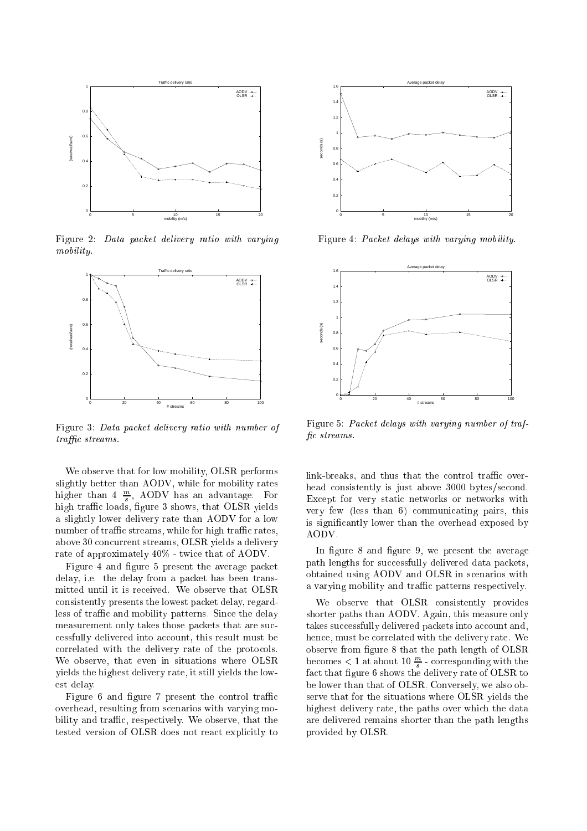

Figure 2: Data packet delivery ratio with varying mobility.



Figure 3: Data packet delivery ratio with number of traffic streams.

We observe that for low mobility, OLSR performs slightly better than AODV, while for mobility rates higher than 4 <sup>m</sup> , AODV has an advantage. For high traÆ loads, gure 3 shows, that OLSR yields a slightly lower delivery rate than AODV for a low number of traffic streams, while for high traffic rates, above 30 on
urrent streams, OLSR yields a delivery rate of approximately  $40\%$  - twice that of AODV.

Figure 4 and figure 5 present the average packet delay, i.e. the delay from a packet has been transmitted until it is re
eived. We observe that OLSR onsistently presents the lowest pa
ket delay, regardless of traffic and mobility patterns. Since the delay measurement only takes those packets that are successfully delivered into account, this result must be correlated with the delivery rate of the protocols. We observe, that even in situations where OLSR yields the highest delivery rate, it still yields the lowest delay.

Figure 6 and figure 7 present the control traffic overhead, resulting from s
enarios with varying mobility and traffic, respectively. We observe, that the tested version of OLSR does not react explicitly to



Figure 4: Packet delays with varying mobility.



Figure 5: Packet delays with varying number of traffic streams.

link-breaks, and thus that the control traffic overhead consistently is just above 3000 bytes/second. Ex
ept for very stati networks or networks with very few (less than 6) ommuni
ating pairs, this is significantly lower than the overhead exposed by AODV.

In figure 8 and figure 9, we present the average path lengths for successfully delivered data packets, obtained using AODV and OLSR in s
enarios with a varying mobility and traffic patterns respectively.

We observe that OLSR consistently provides shorter paths than AODV. Again, this measure only takes successfully delivered packets into account and, hen
e, must be orrelated with the delivery rate. We observe from figure 8 that the path length of OLSR becomes  $\lt$  1 at about 10  $\div$  - corresponding with the fa
t that gure 6 shows the delivery rate of OLSR to be lower than that of OLSR. Conversely, we also observe that for the situations where OLSR yields the highest delivery rate, the paths over which the data are delivered remains shorter than the path lengths provided by OLSR.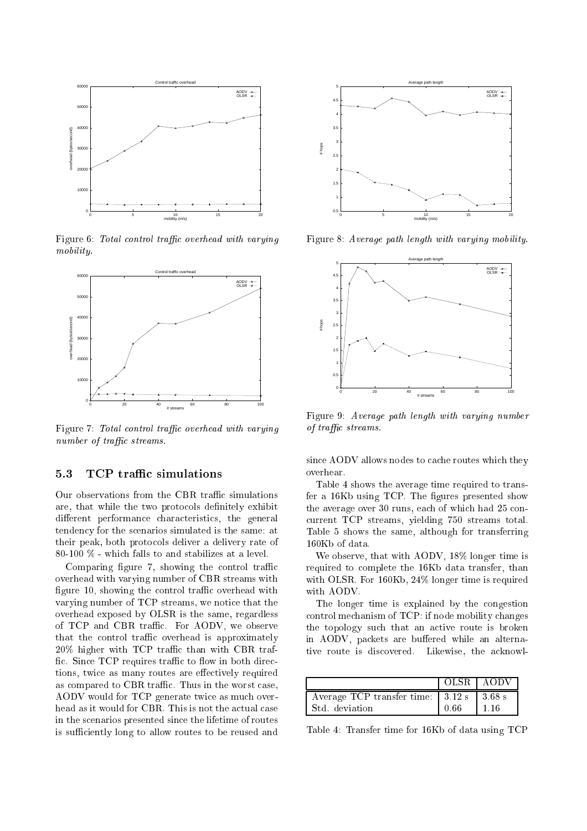

Figure 6: Total control traffic overhead with varying mobility.



Figure 7: Total control traffic overhead with varying number of traffic streams.

### 5.3 TCP traÆ simulations

Our observations from the CBR traffic simulations are, that while the two protocols definitely exhibit different performance characteristics, the general tenden
y for the s
enarios simulated is the same: at their peak, both proto
ols deliver a delivery rate of 80-100 % - whi
h falls to and stabilizes at a level.

Comparing figure 7, showing the control traffic overhead with varying number of CBR streams with figure 10, showing the control traffic overhead with varying number of TCP streams, we noti
e that the overhead exposed by OLSR is the same, regardless of TCP and CBR traffic. For AODV, we observe that the control traffic overhead is approximately 20% higher with TCP traffic than with CBR traffic. Since TCP requires traffic to flow in both directions, twice as many routes are effectively required as compared to CBR traffic. Thus in the worst case, AODV would for TCP generate twi
e as mu
h overhead as it would for CBR. This is not the actual case in the s
enarios presented sin
e the lifetime of routes is sufficiently long to allow routes to be reused and



Figure 8: Average path length with varying mobility.



Figure 9: Average path length with varying number of traffic streams.

since AODV allows nodes to cache routes which they overhear.

Table 4 shows the average time required to transfer a  $16Kb$  using TCP. The figures presented show the average over 30 runs, each of which had 25 conurrent TCP streams, yielding 750 streams total. Table 5 shows the same, although for transferring 160Kb of data.

We observe, that with AODV, 18% longer time is required to omplete the 16Kb data transfer, than with OLSR. For 160Kb, 24% longer time is required with AODV.

The longer time is explained by the ongestion ontrol me
hanism of TCP: if node mobility hanges the topology such that an active route is broken in AODV, packets are buffered while an alternative route is discovered. Likewise, the acknowl-

|                                                                        | -OLSR   AODV |  |
|------------------------------------------------------------------------|--------------|--|
| Average TCP transfer time: $\vert 3.12 \text{ s} \vert 3.68 \text{ s}$ |              |  |
| Std. deviation                                                         |              |  |

Table 4: Transfer time for 16Kb of data using TCP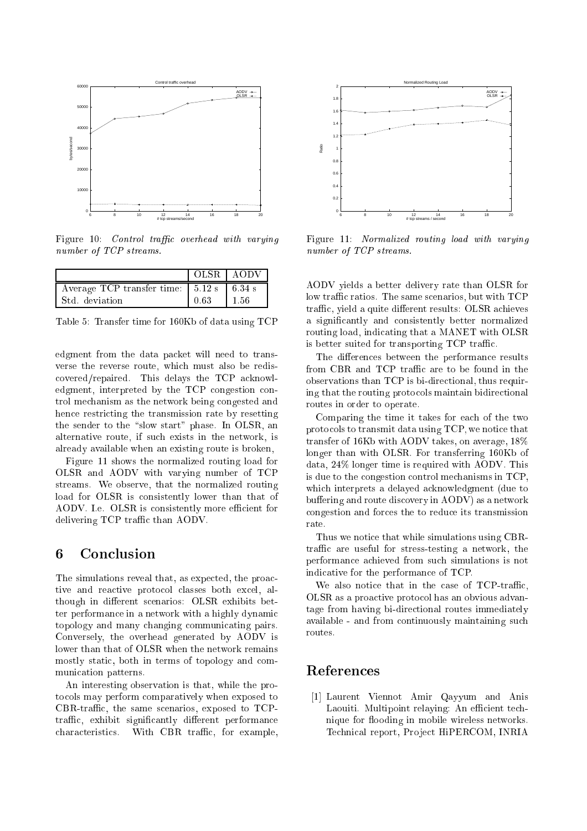

Figure 10: Control traffic overhead with varying number of TCP streams.

|                                                                        |      | OLSR LAODV |
|------------------------------------------------------------------------|------|------------|
| Average TCP transfer time: $\vert 5.12 \text{ s} \vert 6.34 \text{ s}$ |      |            |
| Std. deviation                                                         | 0.63 | -1-56      |

Table 5: Transfer time for 160Kb of data using TCP

edgment from the data packet will need to transverse the reverse route, which must also be rediscovered/repaired. This delays the TCP acknowledgment, interpreted by the TCP congestion control mechanism as the network being congested and hence restricting the transmission rate by resetting the sender to the "slow start" phase. In OLSR, an alternative route, if such exists in the network, is already available when an existing route is broken,

Figure 11 shows the normalized routing load for OLSR and AODV with varying number of TCP streams. We observe, that the normalized routing load for OLSR is consistently lower than that of AODV. I.e. OLSR is consistently more efficient for delivering TCP traffic than AODV.

### Conclusion 6

The simulations reveal that, as expected, the proactive and reactive protocol classes both excel. although in different scenarios: OLSR exhibits better performance in a network with a highly dynamic topology and many changing communicating pairs. Conversely, the overhead generated by AODV is lower than that of OLSR when the network remains mostly static, both in terms of topology and communication patterns.

An interesting observation is that, while the protocols may perform comparatively when exposed to CBR-traffic, the same scenarios, exposed to TCPtraffic, exhibit significantly different performance characteristics. With CBR traffic, for example,



Figure 11: Normalized routing load with varying number of TCP streams.

AODV yields a better delivery rate than OLSR for low traffic ratios. The same scenarios, but with TCP traffic, yield a quite different results: OLSR achieves a significantly and consistently better normalized routing load, indicating that a MANET with OLSR is better suited for transporting TCP traffic.

The differences between the performance results from CBR and TCP traffic are to be found in the observations than TCP is bi-directional, thus requiring that the routing protocols maintain bidirectional routes in order to operate.

Comparing the time it takes for each of the two protocols to transmit data using TCP, we notice that transfer of 16Kb with AODV takes, on average, 18% longer than with OLSR. For transferring 160Kb of  $data, 24\%$  longer time is required with AODV. This is due to the congestion control mechanisms in  $TCP$ , which interprets a delayed acknowledgment (due to buffering and route discovery in AODV) as a network congestion and forces the to reduce its transmission rate.

Thus we notice that while simulations using CBRtraffic are useful for stress-testing a network, the performance achieved from such simulations is not indicative for the performance of TCP.

We also notice that in the case of TCP-traffic, OLSR as a proactive protocol has an obvious advantage from having bi-directional routes immediately available - and from continuously maintaining such routes.

## References

[1] Laurent Viennot Amir Qayyum and Anis Laouiti. Multipoint relaying: An efficient technique for flooding in mobile wireless networks. Technical report, Project HiPERCOM, INRIA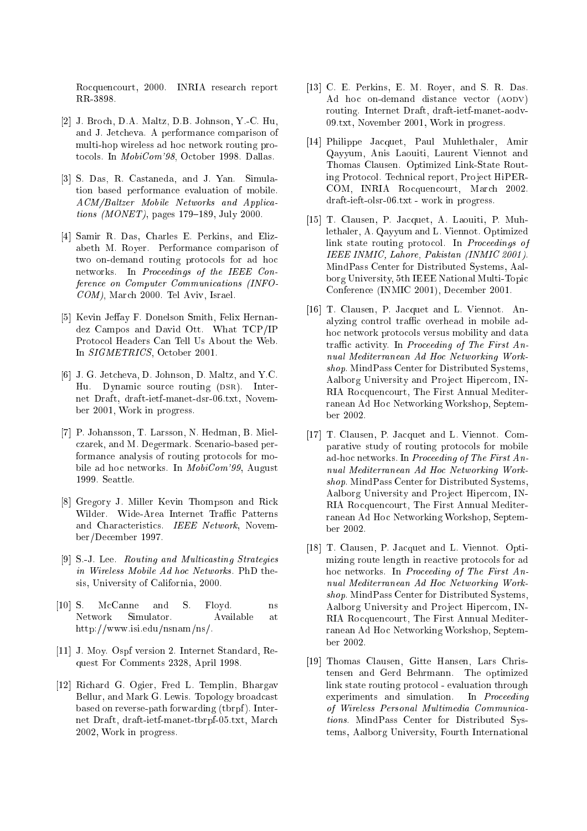Rocquencourt, 2000. INRIA research report RR-3898.

- $[2]$  J. Broch, D.A. Maltz, D.B. Johnson, Y.-C. Hu, and J. Jet
heva. A performan
e omparison of multi-hop wireless ad ho network routing protocols. In MobiCom'98, October 1998. Dallas.
- [3] S. Das, R. Castaneda, and J. Yan. Simulation based performan
e evaluation of mobile. ACM/Baltzer Mobile Networks and Appli
a*tions (MONET)*, pages  $179-189$ , July 2000.
- [4] Samir R. Das, Charles E. Perkins, and Elizabeth M. Royer. Performan
e omparison of two on-demand routing protocols for ad hoc networks. In *Proceedings of the IEEE Con*ference on Computer Communications (INFO-COM), Mar
h 2000. Tel Aviv, Israel.
- [5] Kevin Jeffay F. Donelson Smith, Felix Hernandez Campos and David Ott. What TCP/IP Proto
ol Headers Can Tell Us About the Web. In SIGMETRICS, O
tober 2001.
- [6] J. G. Jetcheva, D. Johnson, D. Maltz, and Y.C. Hu. Dynamic source routing (DSR). Internet Draft, draft-ietf-manet-dsr-06.txt, November 2001, Work in progress.
- [7] P. Johansson, T. Larsson, N. Hedman, B. Mielzarek, and M. Degermark. S
enario-based performance analysis of routing protocols for mobile ad hoc networks. In *MobiCom*'99, August 1999. Seattle.
- [8] Gregory J. Miller Kevin Thompson and Rick Wilder. Wide-Area Internet Traffic Patterns and Chara
teristi
s. IEEE Network, November/De
ember 1997.
- [9] S.-J. Lee. Routing and Multicasting Strategies in Wireless Mobile Ad hoc Networks. PhD thesis, University of California, 2000.
- $[10]$  S. McCanne and S. Floyd. ns Network Simulator. Available at http://www.isi.edu/nsnam/ns/.
- [11] J. Moy. Ospf version 2. Internet Standard, Request For Comments 2328, April 1998.
- [12] Richard G. Ogier, Fred L. Templin, Bhargav Bellur, and Mark G. Lewis. Topology broad
ast based on reverse-path forwarding (tbrpf ). Internet Draft, draft-ietf-manet-tbrpf-05.txt, Mar
h 2002, Work in progress.
- $[13]$  C. E. Perkins, E. M. Royer, and S. R. Das. Ad hoc on-demand distance vector (AODV) routing. Internet Draft, draft-ietf-manet-aodv-09.txt, November 2001, Work in progress.
- [14] Philippe Jacquet, Paul Muhlethaler, Amir Qayyum, Anis Laouiti, Laurent Viennot and Thomas Clausen. Optimized Link-State Routing Protocol. Technical report, Project HiPER-COM, INRIA Rocquencourt, March 2002. draft-ieft-olsr-06.txt - work in progress.
- [15] T. Clausen, P. Jacquet, A. Laouiti, P. Muhlethaler, A. Qayyum and L. Viennot. Optimized link state routing protocol. In Proceedings of IEEE INMIC, Lahore, Pakistan (INMIC 2001). MindPass Center for Distributed Systems, Aalborg University, 5th IEEE National Multi-Topi Conferen
e (INMIC 2001), De
ember 2001.
- [16] T. Clausen, P. Jacquet and L. Viennot. Analyzing ontrol traÆ overhead in mobile adhoc network protocols versus mobility and data traffic activity. In Proceeding of The First Annual Mediterranean Ad Ho Networking Workshop. MindPass Center for Distributed Systems, Aalborg University and Project Hipercom, IN-RIA Rocquencourt, The First Annual Mediterranean Ad Ho Networking Workshop, September 2002.
- [17] T. Clausen, P. Jacquet and L. Viennot. Comparative study of routing proto
ols for mobile ad-hoc networks. In Proceeding of The First Annual Mediterranean Ad Ho Networking Workshop. MindPass Center for Distributed Systems, Aalborg University and Project Hipercom, IN-RIA Rocquencourt, The First Annual Mediterranean Ad Ho Networking Workshop, September 2002.
- [18] T. Clausen, P. Jacquet and L. Viennot. Optimizing route length in reactive protocols for ad hoc networks. In Proceeding of The First Annual Mediterranean Ad Ho Networking Workshop. MindPass Center for Distributed Systems, Aalborg University and Project Hipercom, IN-RIA Ro
quen
ourt, The First Annual Mediterranean Ad Ho Networking Workshop, September 2002.
- [19] Thomas Clausen, Gitte Hansen, Lars Christensen and Gerd Behrmann. The optimized link state routing proto
ol - evaluation through experiments and simulation. In Proceeding of Wireless Personal Multimedia Communi
ations. MindPass Center for Distributed Systems, Aalborg University, Fourth International